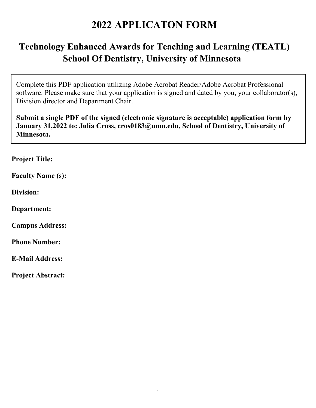## **2022 APPLICATON FORM**

## **Technology Enhanced Awards for Teaching and Learning (TEATL) School Of Dentistry, University of Minnesota**

Complete this PDF application utilizing Adobe Acrobat Reader/Adobe Acrobat Professional software. Please make sure that your application is signed and dated by you, your collaborator(s), Division director and Department Chair.

**Submit a single PDF of the signed (electronic signature is acceptable) application form by January 31,2022 to: Julia Cross, cros0183@umn.edu, School of Dentistry, University of Minnesota.** 

**Project Title:** 

**Faculty Name (s):** 

**Division:** 

**Department:** 

**Campus Address:** 

**Phone Number:** 

**E-Mail Address:**

**Project Abstract:**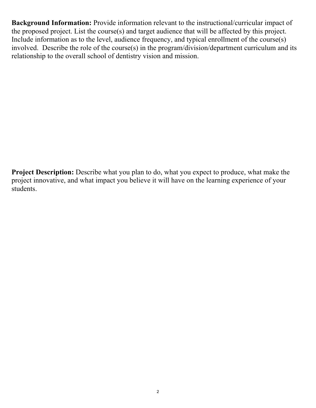**Background Information:** Provide information relevant to the instructional/curricular impact of the proposed project. List the course(s) and target audience that will be affected by this project. Include information as to the level, audience frequency, and typical enrollment of the course(s) involved. Describe the role of the course(s) in the program/division/department curriculum and its relationship to the overall school of dentistry vision and mission.

**Project Description:** Describe what you plan to do, what you expect to produce, what make the project innovative, and what impact you believe it will have on the learning experience of your students.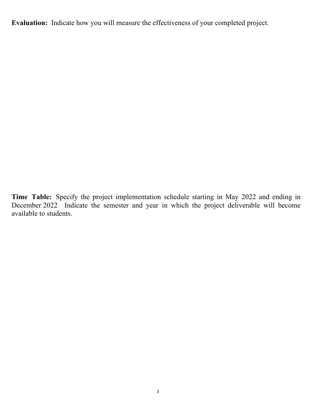**Evaluation:** Indicate how you will measure the effectiveness of your completed project.

**Time Table:** Specify the project implementation schedule starting in May 2022 and ending in December 2022 Indicate the semester and year in which the project deliverable will become available to students.